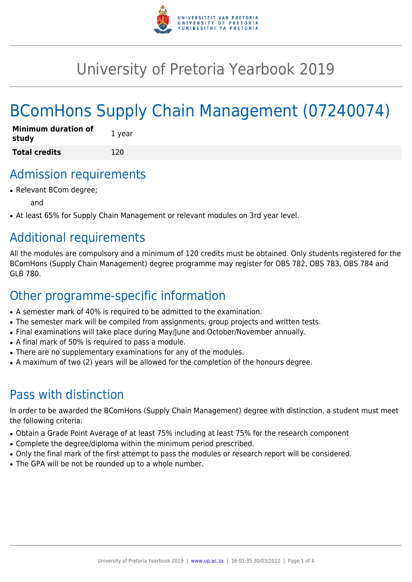

## University of Pretoria Yearbook 2019

# BComHons Supply Chain Management (07240074)

| <b>Minimum duration of</b><br>study | 1 year |
|-------------------------------------|--------|
| <b>Total credits</b>                | 120    |

### Admission requirements

• Relevant BCom degree;

and

• At least 65% for Supply Chain Management or relevant modules on 3rd year level.

### Additional requirements

All the modules are compulsory and a minimum of 120 credits must be obtained. Only students registered for the BComHons (Supply Chain Management) degree programme may register for OBS 782, OBS 783, OBS 784 and GLB 780.

### Other programme-specific information

- A semester mark of 40% is required to be admitted to the examination.
- The semester mark will be compiled from assignments, group projects and written tests.
- Final examinations will take place during May/June and October/November annually.
- A final mark of 50% is required to pass a module.
- There are no supplementary examinations for any of the modules.
- A maximum of two (2) years will be allowed for the completion of the honours degree.

### Pass with distinction

In order to be awarded the BComHons (Supply Chain Management) degree with distinction, a student must meet the following criteria:

- Obtain a Grade Point Average of at least 75% including at least 75% for the research component
- Complete the degree/diploma within the minimum period prescribed.
- Only the final mark of the first attempt to pass the modules or research report will be considered.
- The GPA will be not be rounded up to a whole number.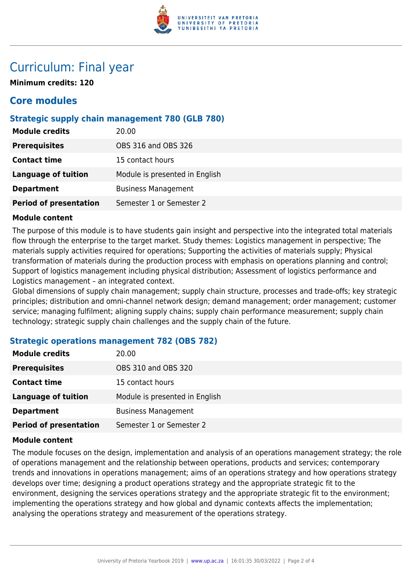

### Curriculum: Final year

**Minimum credits: 120**

#### **Core modules**

#### **Strategic supply chain management 780 (GLB 780)**

| <b>Module credits</b>         | 20.00                          |
|-------------------------------|--------------------------------|
| <b>Prerequisites</b>          | OBS 316 and OBS 326            |
| <b>Contact time</b>           | 15 contact hours               |
| <b>Language of tuition</b>    | Module is presented in English |
| <b>Department</b>             | <b>Business Management</b>     |
| <b>Period of presentation</b> | Semester 1 or Semester 2       |

#### **Module content**

The purpose of this module is to have students gain insight and perspective into the integrated total materials flow through the enterprise to the target market. Study themes: Logistics management in perspective; The materials supply activities required for operations; Supporting the activities of materials supply; Physical transformation of materials during the production process with emphasis on operations planning and control; Support of logistics management including physical distribution; Assessment of logistics performance and Logistics management – an integrated context.

Global dimensions of supply chain management; supply chain structure, processes and trade-offs; key strategic principles; distribution and omni-channel network design; demand management; order management; customer service; managing fulfilment; aligning supply chains; supply chain performance measurement; supply chain technology; strategic supply chain challenges and the supply chain of the future.

#### **Strategic operations management 782 (OBS 782)**

| <b>Module credits</b>         | 20.00                          |
|-------------------------------|--------------------------------|
| <b>Prerequisites</b>          | OBS 310 and OBS 320            |
| <b>Contact time</b>           | 15 contact hours               |
| <b>Language of tuition</b>    | Module is presented in English |
| <b>Department</b>             | <b>Business Management</b>     |
| <b>Period of presentation</b> | Semester 1 or Semester 2       |

#### **Module content**

The module focuses on the design, implementation and analysis of an operations management strategy; the role of operations management and the relationship between operations, products and services; contemporary trends and innovations in operations management; aims of an operations strategy and how operations strategy develops over time; designing a product operations strategy and the appropriate strategic fit to the environment, designing the services operations strategy and the appropriate strategic fit to the environment; implementing the operations strategy and how global and dynamic contexts affects the implementation; analysing the operations strategy and measurement of the operations strategy.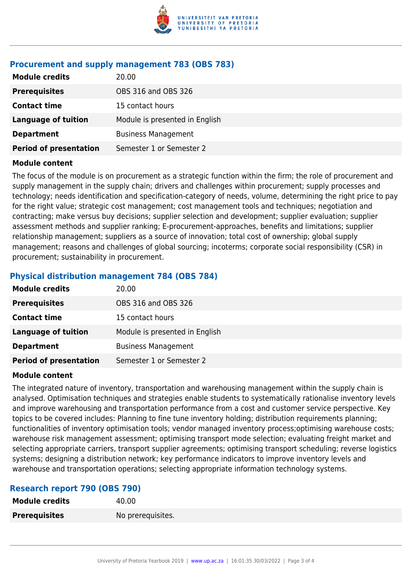

#### **Procurement and supply management 783 (OBS 783)**

| <b>Module credits</b>         | 20.00                          |
|-------------------------------|--------------------------------|
| <b>Prerequisites</b>          | OBS 316 and OBS 326            |
| <b>Contact time</b>           | 15 contact hours               |
| Language of tuition           | Module is presented in English |
| <b>Department</b>             | <b>Business Management</b>     |
| <b>Period of presentation</b> | Semester 1 or Semester 2       |

#### **Module content**

The focus of the module is on procurement as a strategic function within the firm; the role of procurement and supply management in the supply chain; drivers and challenges within procurement; supply processes and technology; needs identification and specification-category of needs, volume, determining the right price to pay for the right value; strategic cost management; cost management tools and techniques; negotiation and contracting; make versus buy decisions; supplier selection and development; supplier evaluation; supplier assessment methods and supplier ranking; E-procurement-approaches, benefits and limitations; supplier relationship management; suppliers as a source of innovation; total cost of ownership; global supply management; reasons and challenges of global sourcing; incoterms; corporate social responsibility (CSR) in procurement; sustainability in procurement.

#### **Physical distribution management 784 (OBS 784)**

| <b>Module credits</b>         | 20.00                          |
|-------------------------------|--------------------------------|
| <b>Prerequisites</b>          | OBS 316 and OBS 326            |
| <b>Contact time</b>           | 15 contact hours               |
| Language of tuition           | Module is presented in English |
| <b>Department</b>             | <b>Business Management</b>     |
| <b>Period of presentation</b> | Semester 1 or Semester 2       |

#### **Module content**

The integrated nature of inventory, transportation and warehousing management within the supply chain is analysed. Optimisation techniques and strategies enable students to systematically rationalise inventory levels and improve warehousing and transportation performance from a cost and customer service perspective. Key topics to be covered includes: Planning to fine tune inventory holding; distribution requirements planning; functionalities of inventory optimisation tools; vendor managed inventory process;optimising warehouse costs; warehouse risk management assessment; optimising transport mode selection; evaluating freight market and selecting appropriate carriers, transport supplier agreements; optimising transport scheduling; reverse logistics systems; designing a distribution network; key performance indicators to improve inventory levels and warehouse and transportation operations; selecting appropriate information technology systems.

#### **Research report 790 (OBS 790)**

| <b>Module credits</b> | 40.00             |
|-----------------------|-------------------|
| <b>Prerequisites</b>  | No prerequisites. |